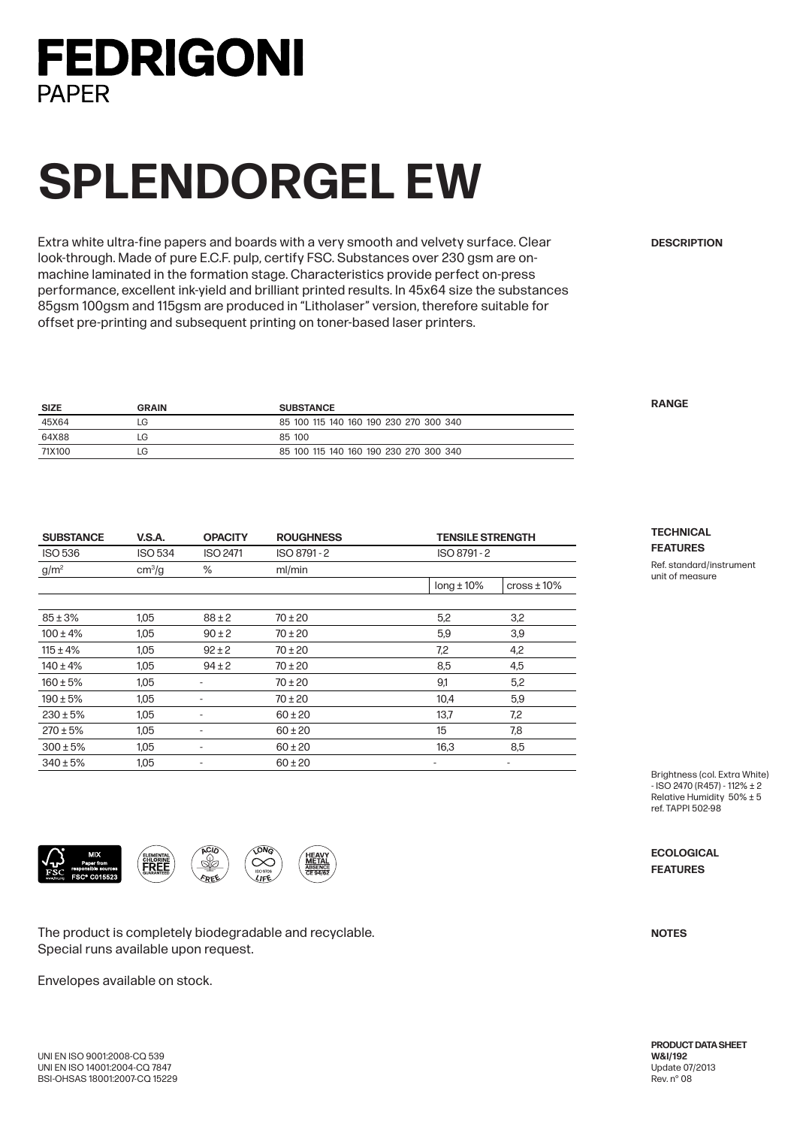### **FEDRIGONI PAPFR**

# **SPLENDORGEL EW**

Extra white ultra-fine papers and boards with a very smooth and velvety surface. Clear look-through. Made of pure E.C.F. pulp, certify FSC. Substances over 230 gsm are onmachine laminated in the formation stage. Characteristics provide perfect on-press performance, excellent ink-yield and brilliant printed results. In 45x64 size the substances 85gsm 100gsm and 115gsm are produced in "Litholaser" version, therefore suitable for offset pre-printing and subsequent printing on toner-based laser printers.

| <b>SIZE</b> | <b>GRAIN</b> | <b>SUBSTANCE</b>                       |
|-------------|--------------|----------------------------------------|
| 45X64       | LG           | 85 100 115 140 160 190 230 270 300 340 |
| 64X88       | LG           | 85 100                                 |
| 71X100      | LG           | 85 100 115 140 160 190 230 270 300 340 |

| <b>SUBSTANCE</b> | <b>V.S.A.</b>      | <b>OPACITY</b>               | <b>ROUGHNESS</b> |                 | <b>TENSILE STRENGTH</b> |  |
|------------------|--------------------|------------------------------|------------------|-----------------|-------------------------|--|
| <b>ISO 536</b>   | <b>ISO 534</b>     | <b>ISO 2471</b>              | ISO 8791-2       | ISO 8791-2      |                         |  |
| $g/m^2$          | cm <sup>3</sup> /g | %                            | ml/min           |                 |                         |  |
|                  |                    |                              |                  | $long \pm 10\%$ | $\cos$ 10%              |  |
|                  |                    |                              |                  |                 |                         |  |
| $85 \pm 3%$      | 1.05               | $88 + 2$                     | $70 \pm 20$      | 5,2             | 3,2                     |  |
| $100 \pm 4\%$    | 1,05               | $90 \pm 2$                   | $70 \pm 20$      | 5,9             | 3,9                     |  |
| $115 \pm 4\%$    | 1,05               | $92 \pm 2$                   | $70 \pm 20$      | 7,2             | 4,2                     |  |
| $140 \pm 4\%$    | 1.05               | $94 \pm 2$                   | $70 \pm 20$      | 8,5             | 4,5                     |  |
| $160 \pm 5%$     | 1,05               |                              | $70 \pm 20$      | 9,1             | 5,2                     |  |
| $190 \pm 5\%$    | 1,05               | $\qquad \qquad \blacksquare$ | $70 \pm 20$      | 10,4            | 5,9                     |  |
| $230 \pm 5\%$    | 1,05               | -                            | $60 \pm 20$      | 13,7            | 7,2                     |  |
| $270 \pm 5%$     | 1,05               | $\qquad \qquad \blacksquare$ | $60 \pm 20$      | 15              | 7,8                     |  |
| $300 \pm 5\%$    | 1,05               | -                            | $60 \pm 20$      | 16,3            | 8,5                     |  |
| $340 \pm 5%$     | 1,05               | $\overline{\phantom{a}}$     | $60 \pm 20$      | ٠               | ٠                       |  |

The product is completely biodegradable and recyclable. Special runs available upon request.

Sb

 $k$ DER

FREE

Envelopes available on stock.

### **DESCRIPTION**

**RANGE**

**TECHNICAL FEATURES**

Ref. standard/instrument unit of measure

Brightness (col. Extra White) - ISO 2470 (R457) - 112% ± 2 Relative Humidity 50% ± 5 ref. TAPPI 502-98

**ECOLOGICAL FEATURES**

**NOTES**

**PRODUCT DATA SHEET W&I/192** Update 07/2013 Rev. n° 08